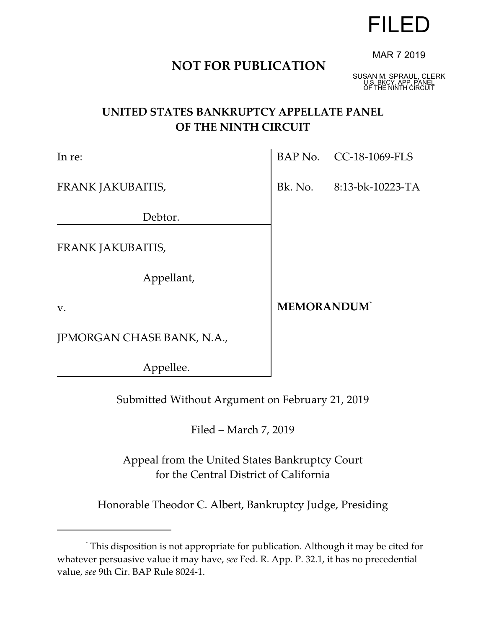# FILED

# **NOT FOR PUBLICATION**

MAR 7 2019

SUSAN M. SPRAUL, CLERK U.S. BKCY. APP. PANEL OF THE NINTH CIRCUIT

# **UNITED STATES BANKRUPTCY APPELLATE PANEL OF THE NINTH CIRCUIT**

| In re:                     | BAP No. CC-18-1069-FLS         |  |
|----------------------------|--------------------------------|--|
| FRANK JAKUBAITIS,          | Bk. No. 8:13-bk-10223-TA       |  |
| Debtor.                    |                                |  |
| FRANK JAKUBAITIS,          |                                |  |
| Appellant,                 |                                |  |
| V.                         | <b>MEMORANDUM</b> <sup>*</sup> |  |
| JPMORGAN CHASE BANK, N.A., |                                |  |
| Appellee.                  |                                |  |

Submitted Without Argument on February 21, 2019

Filed – March 7, 2019

Appeal from the United States Bankruptcy Court for the Central District of California

Honorable Theodor C. Albert, Bankruptcy Judge, Presiding

<sup>\*</sup> This disposition is not appropriate for publication. Although it may be cited for whatever persuasive value it may have, *see* Fed. R. App. P. 32.1, it has no precedential value, *see* 9th Cir. BAP Rule 8024-1.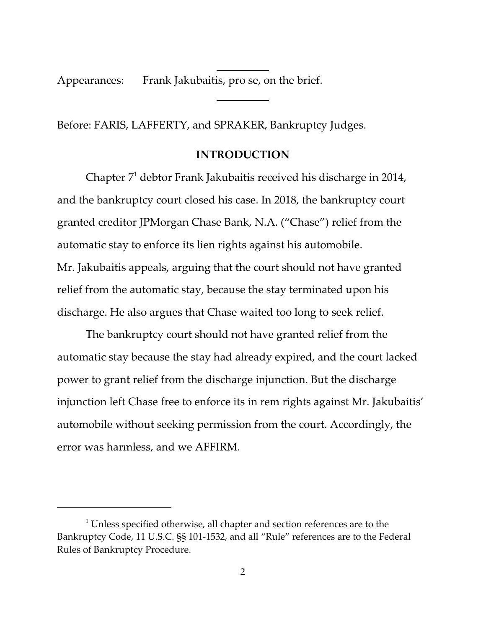Appearances: Frank Jakubaitis, pro se, on the brief.

Before: FARIS, LAFFERTY, and SPRAKER, Bankruptcy Judges.

 $\overline{a}$ 

 $\overline{a}$ 

## **INTRODUCTION**

Chapter  $7<sup>1</sup>$  debtor Frank Jakubaitis received his discharge in 2014, and the bankruptcy court closed his case. In 2018, the bankruptcy court granted creditor JPMorgan Chase Bank, N.A. ("Chase") relief from the automatic stay to enforce its lien rights against his automobile. Mr. Jakubaitis appeals, arguing that the court should not have granted relief from the automatic stay, because the stay terminated upon his discharge. He also argues that Chase waited too long to seek relief.

The bankruptcy court should not have granted relief from the automatic stay because the stay had already expired, and the court lacked power to grant relief from the discharge injunction. But the discharge injunction left Chase free to enforce its in rem rights against Mr. Jakubaitis' automobile without seeking permission from the court. Accordingly, the error was harmless, and we AFFIRM.

 $1$  Unless specified otherwise, all chapter and section references are to the Bankruptcy Code, 11 U.S.C. §§ 101-1532, and all "Rule" references are to the Federal Rules of Bankruptcy Procedure.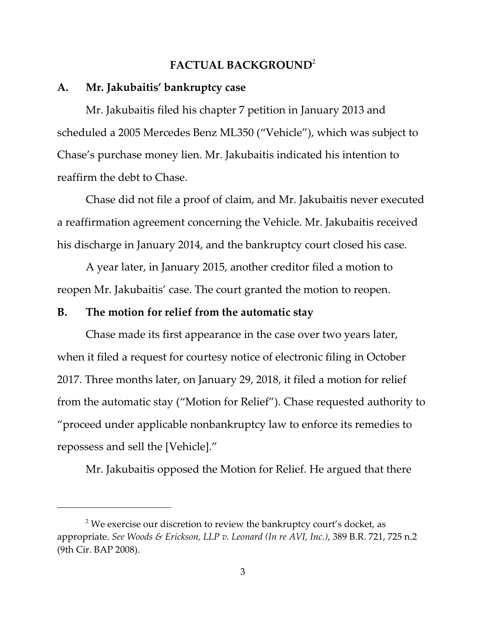## **FACTUAL BACKGROUND**<sup>2</sup>

#### **A. Mr. Jakubaitis' bankruptcy case**

Mr. Jakubaitis filed his chapter 7 petition in January 2013 and scheduled a 2005 Mercedes Benz ML350 ("Vehicle"), which was subject to Chase's purchase money lien. Mr. Jakubaitis indicated his intention to reaffirm the debt to Chase.

Chase did not file a proof of claim, and Mr. Jakubaitis never executed a reaffirmation agreement concerning the Vehicle. Mr. Jakubaitis received his discharge in January 2014, and the bankruptcy court closed his case.

A year later, in January 2015, another creditor filed a motion to reopen Mr. Jakubaitis' case. The court granted the motion to reopen.

## **B. The motion for relief from the automatic stay**

Chase made its first appearance in the case over two years later, when it filed a request for courtesy notice of electronic filing in October 2017. Three months later, on January 29, 2018, it filed a motion for relief from the automatic stay ("Motion for Relief"). Chase requested authority to "proceed under applicable nonbankruptcy law to enforce its remedies to repossess and sell the [Vehicle]."

Mr. Jakubaitis opposed the Motion for Relief. He argued that there

 $^2$  We exercise our discretion to review the bankruptcy court's docket, as appropriate. *See Woods & Erickson, LLP v. Leonard (In re AVI, Inc.)*, 389 B.R. 721, 725 n.2 (9th Cir. BAP 2008).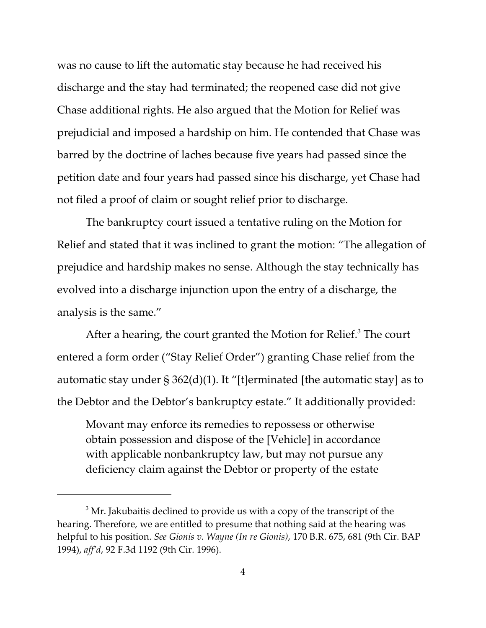was no cause to lift the automatic stay because he had received his discharge and the stay had terminated; the reopened case did not give Chase additional rights. He also argued that the Motion for Relief was prejudicial and imposed a hardship on him. He contended that Chase was barred by the doctrine of laches because five years had passed since the petition date and four years had passed since his discharge, yet Chase had not filed a proof of claim or sought relief prior to discharge.

The bankruptcy court issued a tentative ruling on the Motion for Relief and stated that it was inclined to grant the motion: "The allegation of prejudice and hardship makes no sense. Although the stay technically has evolved into a discharge injunction upon the entry of a discharge, the analysis is the same."

After a hearing, the court granted the Motion for Relief.<sup>3</sup> The court entered a form order ("Stay Relief Order") granting Chase relief from the automatic stay under  $\S 362(d)(1)$ . It "[t]erminated [the automatic stay] as to the Debtor and the Debtor's bankruptcy estate." It additionally provided:

Movant may enforce its remedies to repossess or otherwise obtain possession and dispose of the [Vehicle] in accordance with applicable nonbankruptcy law, but may not pursue any deficiency claim against the Debtor or property of the estate

 $^3$  Mr. Jakubaitis declined to provide us with a copy of the transcript of the hearing. Therefore, we are entitled to presume that nothing said at the hearing was helpful to his position. *See Gionis v. Wayne (In re Gionis)*, 170 B.R. 675, 681 (9th Cir. BAP 1994), *aff'd*, 92 F.3d 1192 (9th Cir. 1996).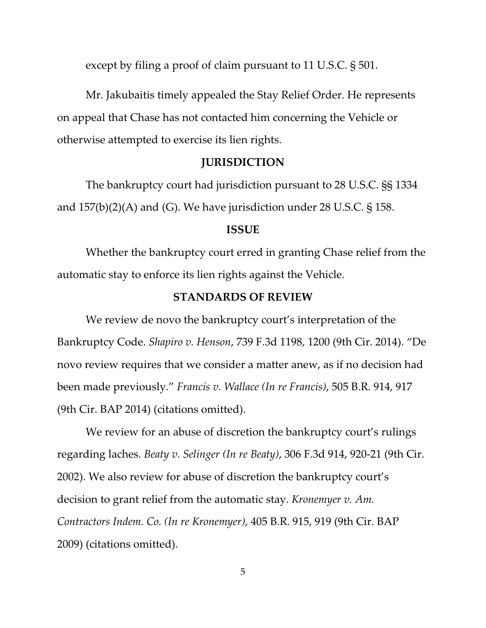except by filing a proof of claim pursuant to 11 U.S.C. § 501.

Mr. Jakubaitis timely appealed the Stay Relief Order. He represents on appeal that Chase has not contacted him concerning the Vehicle or otherwise attempted to exercise its lien rights.

## **JURISDICTION**

The bankruptcy court had jurisdiction pursuant to 28 U.S.C. §§ 1334 and  $157(b)(2)(A)$  and (G). We have jurisdiction under 28 U.S.C. § 158.

#### **ISSUE**

Whether the bankruptcy court erred in granting Chase relief from the automatic stay to enforce its lien rights against the Vehicle.

## **STANDARDS OF REVIEW**

We review de novo the bankruptcy court's interpretation of the Bankruptcy Code. *Shapiro v. Henson*, 739 F.3d 1198, 1200 (9th Cir. 2014). "De novo review requires that we consider a matter anew, as if no decision had been made previously." *Francis v. Wallace (In re Francis)*, 505 B.R. 914, 917 (9th Cir. BAP 2014) (citations omitted).

We review for an abuse of discretion the bankruptcy court's rulings regarding laches. *Beaty v. Selinger (In re Beaty)*, 306 F.3d 914, 920-21 (9th Cir. 2002). We also review for abuse of discretion the bankruptcy court's decision to grant relief from the automatic stay. *Kronemyer v. Am. Contractors Indem. Co. (In re Kronemyer)*, 405 B.R. 915, 919 (9th Cir. BAP 2009) (citations omitted).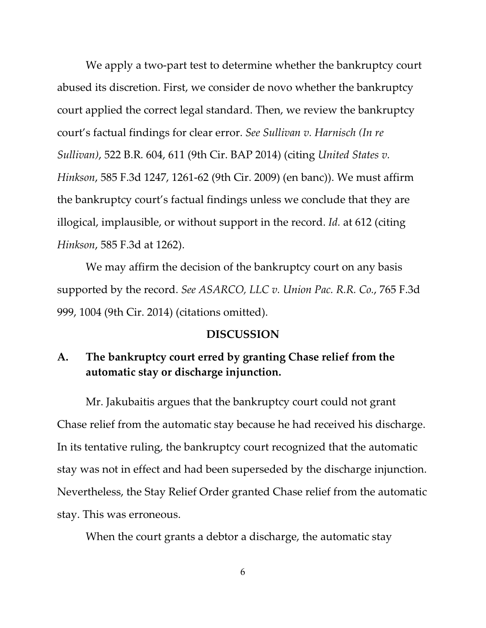We apply a two-part test to determine whether the bankruptcy court abused its discretion. First, we consider de novo whether the bankruptcy court applied the correct legal standard. Then, we review the bankruptcy court's factual findings for clear error. *See Sullivan v. Harnisch (In re Sullivan)*, 522 B.R. 604, 611 (9th Cir. BAP 2014) (citing *United States v. Hinkson*, 585 F.3d 1247, 1261-62 (9th Cir. 2009) (en banc)). We must affirm the bankruptcy court's factual findings unless we conclude that they are illogical, implausible, or without support in the record. *Id.* at 612 (citing *Hinkson*, 585 F.3d at 1262).

We may affirm the decision of the bankruptcy court on any basis supported by the record. *See ASARCO, LLC v. Union Pac. R.R. Co.*, 765 F.3d 999, 1004 (9th Cir. 2014) (citations omitted).

#### **DISCUSSION**

# **A. The bankruptcy court erred by granting Chase relief from the automatic stay or discharge injunction.**

Mr. Jakubaitis argues that the bankruptcy court could not grant Chase relief from the automatic stay because he had received his discharge. In its tentative ruling, the bankruptcy court recognized that the automatic stay was not in effect and had been superseded by the discharge injunction. Nevertheless, the Stay Relief Order granted Chase relief from the automatic stay. This was erroneous.

When the court grants a debtor a discharge, the automatic stay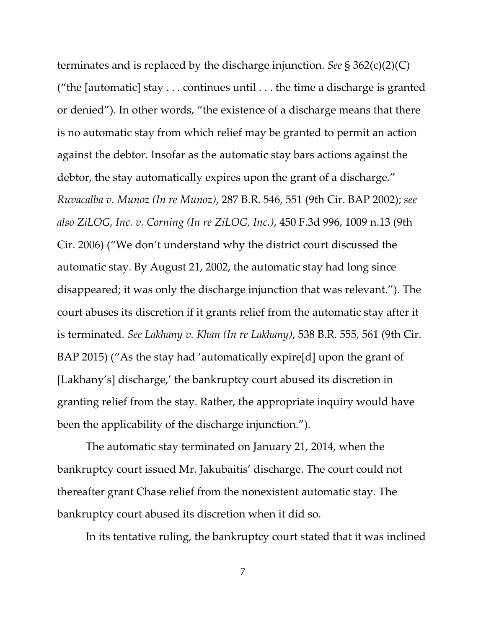terminates and is replaced by the discharge injunction. *See* § 362(c)(2)(C) ("the [automatic] stay  $\dots$  continues until  $\dots$  the time a discharge is granted or denied"). In other words, "the existence of a discharge means that there is no automatic stay from which relief may be granted to permit an action against the debtor. Insofar as the automatic stay bars actions against the debtor, the stay automatically expires upon the grant of a discharge." *Ruvacalba v. Munoz (In re Munoz)*, 287 B.R. 546, 551 (9th Cir. BAP 2002); *see also ZiLOG, Inc. v. Corning (In re ZiLOG, Inc.)*, 450 F.3d 996, 1009 n.13 (9th Cir. 2006) ("We don't understand why the district court discussed the automatic stay. By August 21, 2002, the automatic stay had long since disappeared; it was only the discharge injunction that was relevant."). The court abuses its discretion if it grants relief from the automatic stay after it is terminated. *See Lakhany v. Khan (In re Lakhany)*, 538 B.R. 555, 561 (9th Cir. BAP 2015) ("As the stay had 'automatically expire[d] upon the grant of [Lakhany's] discharge,' the bankruptcy court abused its discretion in granting relief from the stay. Rather, the appropriate inquiry would have been the applicability of the discharge injunction.").

The automatic stay terminated on January 21, 2014, when the bankruptcy court issued Mr. Jakubaitis' discharge. The court could not thereafter grant Chase relief from the nonexistent automatic stay. The bankruptcy court abused its discretion when it did so.

In its tentative ruling, the bankruptcy court stated that it was inclined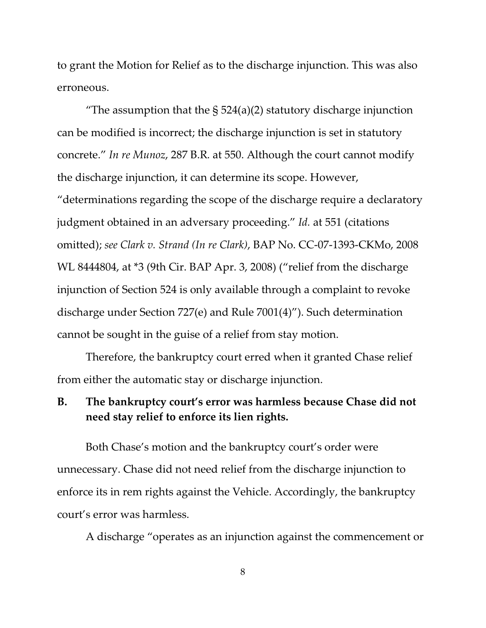to grant the Motion for Relief as to the discharge injunction. This was also erroneous.

"The assumption that the  $\S$  524(a)(2) statutory discharge injunction can be modified is incorrect; the discharge injunction is set in statutory concrete." *In re Munoz*, 287 B.R. at 550. Although the court cannot modify the discharge injunction, it can determine its scope. However, "determinations regarding the scope of the discharge require a declaratory judgment obtained in an adversary proceeding." *Id.* at 551 (citations omitted); *see Clark v. Strand (In re Clark)*, BAP No. CC-07-1393-CKMo, 2008 WL 8444804, at \*3 (9th Cir. BAP Apr. 3, 2008) ("relief from the discharge injunction of Section 524 is only available through a complaint to revoke discharge under Section 727(e) and Rule 7001(4)"). Such determination cannot be sought in the guise of a relief from stay motion.

Therefore, the bankruptcy court erred when it granted Chase relief from either the automatic stay or discharge injunction.

# **B. The bankruptcy court's error was harmless because Chase did not need stay relief to enforce its lien rights.**

Both Chase's motion and the bankruptcy court's order were unnecessary. Chase did not need relief from the discharge injunction to enforce its in rem rights against the Vehicle. Accordingly, the bankruptcy court's error was harmless.

A discharge "operates as an injunction against the commencement or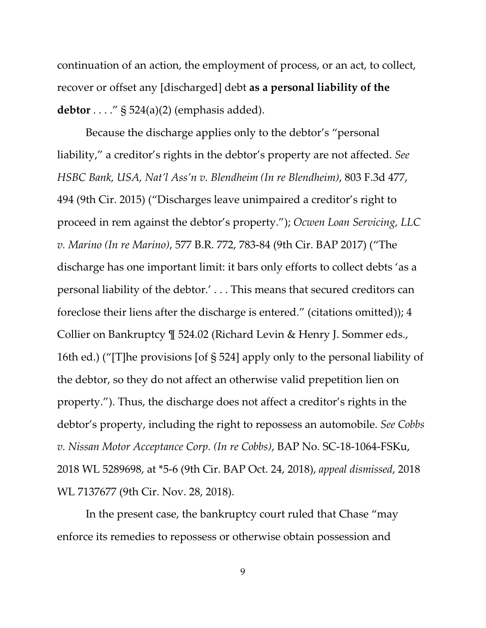continuation of an action, the employment of process, or an act, to collect, recover or offset any [discharged] debt **as a personal liability of the debtor** . . . ." § 524(a)(2) (emphasis added).

Because the discharge applies only to the debtor's "personal liability," a creditor's rights in the debtor's property are not affected. *See HSBC Bank, USA, Nat'l Ass'n v. Blendheim (In re Blendheim)*, 803 F.3d 477, 494 (9th Cir. 2015) ("Discharges leave unimpaired a creditor's right to proceed in rem against the debtor's property."); *Ocwen Loan Servicing, LLC v. Marino (In re Marino)*, 577 B.R. 772, 783-84 (9th Cir. BAP 2017) ("The discharge has one important limit: it bars only efforts to collect debts 'as a personal liability of the debtor.' . . . This means that secured creditors can foreclose their liens after the discharge is entered." (citations omitted)); 4 Collier on Bankruptcy ¶ 524.02 (Richard Levin & Henry J. Sommer eds., 16th ed.) ("[T]he provisions [of § 524] apply only to the personal liability of the debtor, so they do not affect an otherwise valid prepetition lien on property."). Thus, the discharge does not affect a creditor's rights in the debtor's property, including the right to repossess an automobile. *See Cobbs v. Nissan Motor Acceptance Corp. (In re Cobbs)*, BAP No. SC-18-1064-FSKu, 2018 WL 5289698, at \*5-6 (9th Cir. BAP Oct. 24, 2018), *appeal dismissed*, 2018 WL 7137677 (9th Cir. Nov. 28, 2018).

In the present case, the bankruptcy court ruled that Chase "may enforce its remedies to repossess or otherwise obtain possession and

9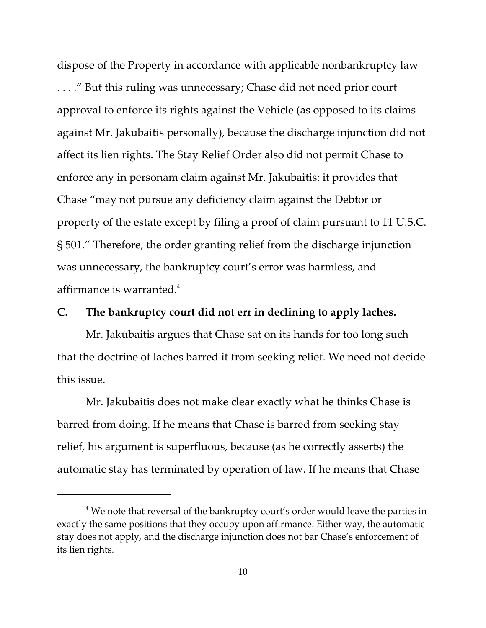dispose of the Property in accordance with applicable nonbankruptcy law . . . ." But this ruling was unnecessary; Chase did not need prior court approval to enforce its rights against the Vehicle (as opposed to its claims against Mr. Jakubaitis personally), because the discharge injunction did not affect its lien rights. The Stay Relief Order also did not permit Chase to enforce any in personam claim against Mr. Jakubaitis: it provides that Chase "may not pursue any deficiency claim against the Debtor or property of the estate except by filing a proof of claim pursuant to 11 U.S.C. § 501." Therefore, the order granting relief from the discharge injunction was unnecessary, the bankruptcy court's error was harmless, and affirmance is warranted. $4$ 

# **C. The bankruptcy court did not err in declining to apply laches.**

Mr. Jakubaitis argues that Chase sat on its hands for too long such that the doctrine of laches barred it from seeking relief. We need not decide this issue.

Mr. Jakubaitis does not make clear exactly what he thinks Chase is barred from doing. If he means that Chase is barred from seeking stay relief, his argument is superfluous, because (as he correctly asserts) the automatic stay has terminated by operation of law. If he means that Chase

 $^4$  We note that reversal of the bankruptcy court's order would leave the parties in exactly the same positions that they occupy upon affirmance. Either way, the automatic stay does not apply, and the discharge injunction does not bar Chase's enforcement of its lien rights.